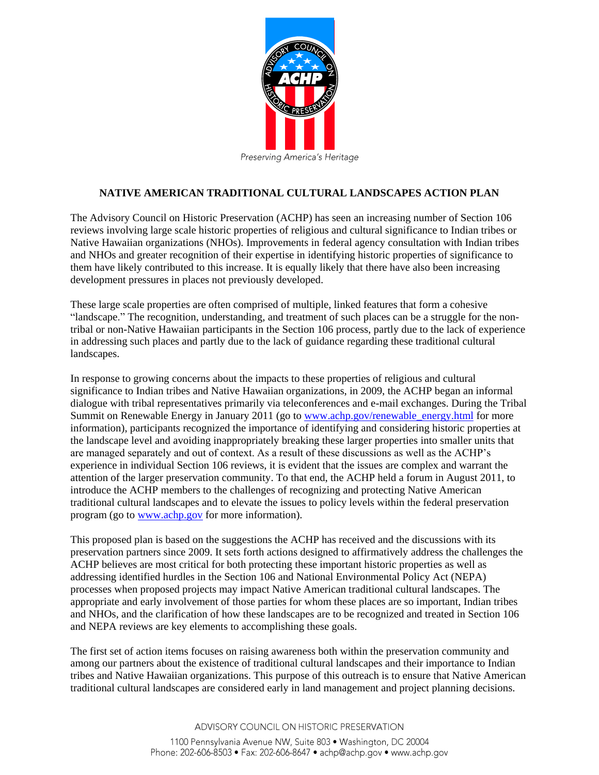

## **NATIVE AMERICAN TRADITIONAL CULTURAL LANDSCAPES ACTION PLAN**

The Advisory Council on Historic Preservation (ACHP) has seen an increasing number of Section 106 reviews involving large scale historic properties of religious and cultural significance to Indian tribes or Native Hawaiian organizations (NHOs). Improvements in federal agency consultation with Indian tribes and NHOs and greater recognition of their expertise in identifying historic properties of significance to them have likely contributed to this increase. It is equally likely that there have also been increasing development pressures in places not previously developed.

These large scale properties are often comprised of multiple, linked features that form a cohesive "landscape." The recognition, understanding, and treatment of such places can be a struggle for the nontribal or non-Native Hawaiian participants in the Section 106 process, partly due to the lack of experience in addressing such places and partly due to the lack of guidance regarding these traditional cultural landscapes.

In response to growing concerns about the impacts to these properties of religious and cultural significance to Indian tribes and Native Hawaiian organizations, in 2009, the ACHP began an informal dialogue with tribal representatives primarily via teleconferences and e-mail exchanges. During the Tribal Summit on Renewable Energy in January 2011 (go to [www.achp.gov/renewable\\_energy.html](http://www.achp.gov/renewable_energy.html) for more information), participants recognized the importance of identifying and considering historic properties at the landscape level and avoiding inappropriately breaking these larger properties into smaller units that are managed separately and out of context. As a result of these discussions as well as the ACHP's experience in individual Section 106 reviews, it is evident that the issues are complex and warrant the attention of the larger preservation community. To that end, the ACHP held a forum in August 2011, to introduce the ACHP members to the challenges of recognizing and protecting Native American traditional cultural landscapes and to elevate the issues to policy levels within the federal preservation program (go to [www.achp.gov](http://www.achp.gov/) for more information).

This proposed plan is based on the suggestions the ACHP has received and the discussions with its preservation partners since 2009. It sets forth actions designed to affirmatively address the challenges the ACHP believes are most critical for both protecting these important historic properties as well as addressing identified hurdles in the Section 106 and National Environmental Policy Act (NEPA) processes when proposed projects may impact Native American traditional cultural landscapes. The appropriate and early involvement of those parties for whom these places are so important, Indian tribes and NHOs, and the clarification of how these landscapes are to be recognized and treated in Section 106 and NEPA reviews are key elements to accomplishing these goals.

The first set of action items focuses on raising awareness both within the preservation community and among our partners about the existence of traditional cultural landscapes and their importance to Indian tribes and Native Hawaiian organizations. This purpose of this outreach is to ensure that Native American traditional cultural landscapes are considered early in land management and project planning decisions.

> ADVISORY COUNCIL ON HISTORIC PRESERVATION 1100 Pennsylvania Avenue NW, Suite 803 · Washington, DC 20004 Phone: 202-606-8503 • Fax: 202-606-8647 • achp@achp.gov • www.achp.gov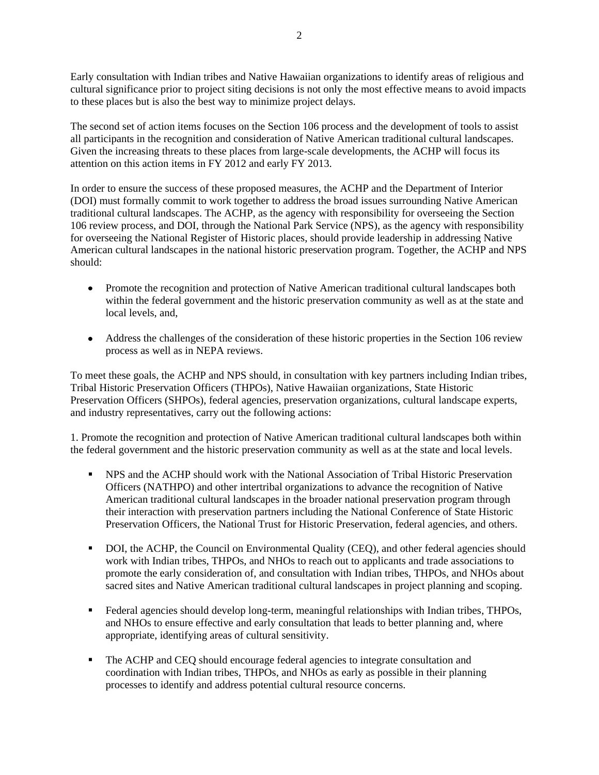Early consultation with Indian tribes and Native Hawaiian organizations to identify areas of religious and cultural significance prior to project siting decisions is not only the most effective means to avoid impacts to these places but is also the best way to minimize project delays.

The second set of action items focuses on the Section 106 process and the development of tools to assist all participants in the recognition and consideration of Native American traditional cultural landscapes. Given the increasing threats to these places from large-scale developments, the ACHP will focus its attention on this action items in FY 2012 and early FY 2013.

In order to ensure the success of these proposed measures, the ACHP and the Department of Interior (DOI) must formally commit to work together to address the broad issues surrounding Native American traditional cultural landscapes. The ACHP, as the agency with responsibility for overseeing the Section 106 review process, and DOI, through the National Park Service (NPS), as the agency with responsibility for overseeing the National Register of Historic places, should provide leadership in addressing Native American cultural landscapes in the national historic preservation program. Together, the ACHP and NPS should:

- Promote the recognition and protection of Native American traditional cultural landscapes both within the federal government and the historic preservation community as well as at the state and local levels, and,
- Address the challenges of the consideration of these historic properties in the Section 106 review process as well as in NEPA reviews.

To meet these goals, the ACHP and NPS should, in consultation with key partners including Indian tribes, Tribal Historic Preservation Officers (THPOs), Native Hawaiian organizations, State Historic Preservation Officers (SHPOs), federal agencies, preservation organizations, cultural landscape experts, and industry representatives, carry out the following actions:

1. Promote the recognition and protection of Native American traditional cultural landscapes both within the federal government and the historic preservation community as well as at the state and local levels.

- NPS and the ACHP should work with the National Association of Tribal Historic Preservation Officers (NATHPO) and other intertribal organizations to advance the recognition of Native American traditional cultural landscapes in the broader national preservation program through their interaction with preservation partners including the National Conference of State Historic Preservation Officers, the National Trust for Historic Preservation, federal agencies, and others.
- DOI, the ACHP, the Council on Environmental Quality (CEQ), and other federal agencies should work with Indian tribes, THPOs, and NHOs to reach out to applicants and trade associations to promote the early consideration of, and consultation with Indian tribes, THPOs, and NHOs about sacred sites and Native American traditional cultural landscapes in project planning and scoping.
- Federal agencies should develop long-term, meaningful relationships with Indian tribes, THPOs, and NHOs to ensure effective and early consultation that leads to better planning and, where appropriate, identifying areas of cultural sensitivity.
- The ACHP and CEQ should encourage federal agencies to integrate consultation and coordination with Indian tribes, THPOs, and NHOs as early as possible in their planning processes to identify and address potential cultural resource concerns.